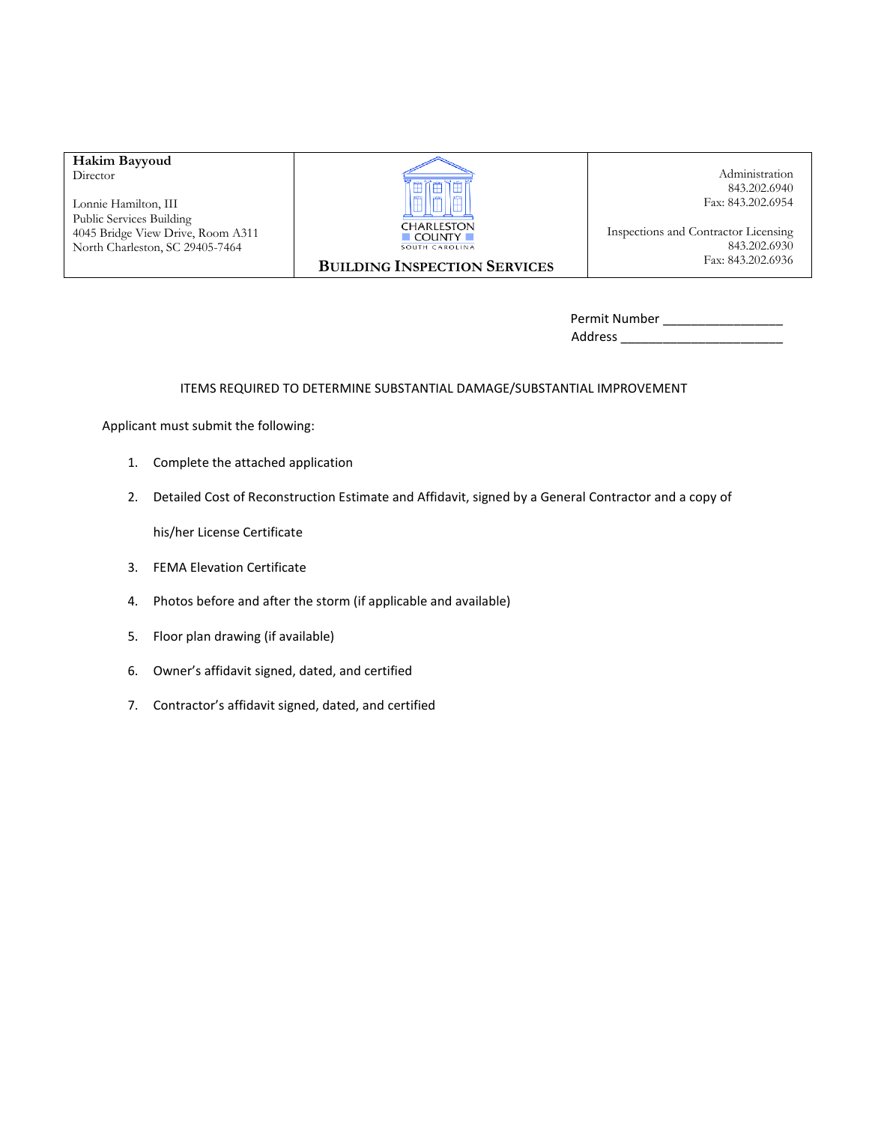# **Hakim Bayyoud**

Director

Lonnie Hamilton, III Public Services Building 4045 Bridge View Drive, Room A311 North Charleston, SC 29405-7464



 **BUILDING INSPECTION SERVICES**

 Administration 843.202.6940 Fax: 843.202.6954

Inspections and Contractor Licensing 843.202.6930 Fax: 843.202.6936

Permit Number \_\_\_\_\_\_\_\_\_\_\_\_\_\_\_\_\_ Address \_\_\_\_\_\_\_\_\_\_\_\_\_\_\_\_\_\_\_\_\_\_\_

#### ITEMS REQUIRED TO DETERMINE SUBSTANTIAL DAMAGE/SUBSTANTIAL IMPROVEMENT

Applicant must submit the following:

- 1. Complete the attached application
- 2. Detailed Cost of Reconstruction Estimate and Affidavit, signed by a General Contractor and a copy of

his/her License Certificate

- 3. FEMA Elevation Certificate
- 4. Photos before and after the storm (if applicable and available)
- 5. Floor plan drawing (if available)
- 6. Owner's affidavit signed, dated, and certified
- 7. Contractor's affidavit signed, dated, and certified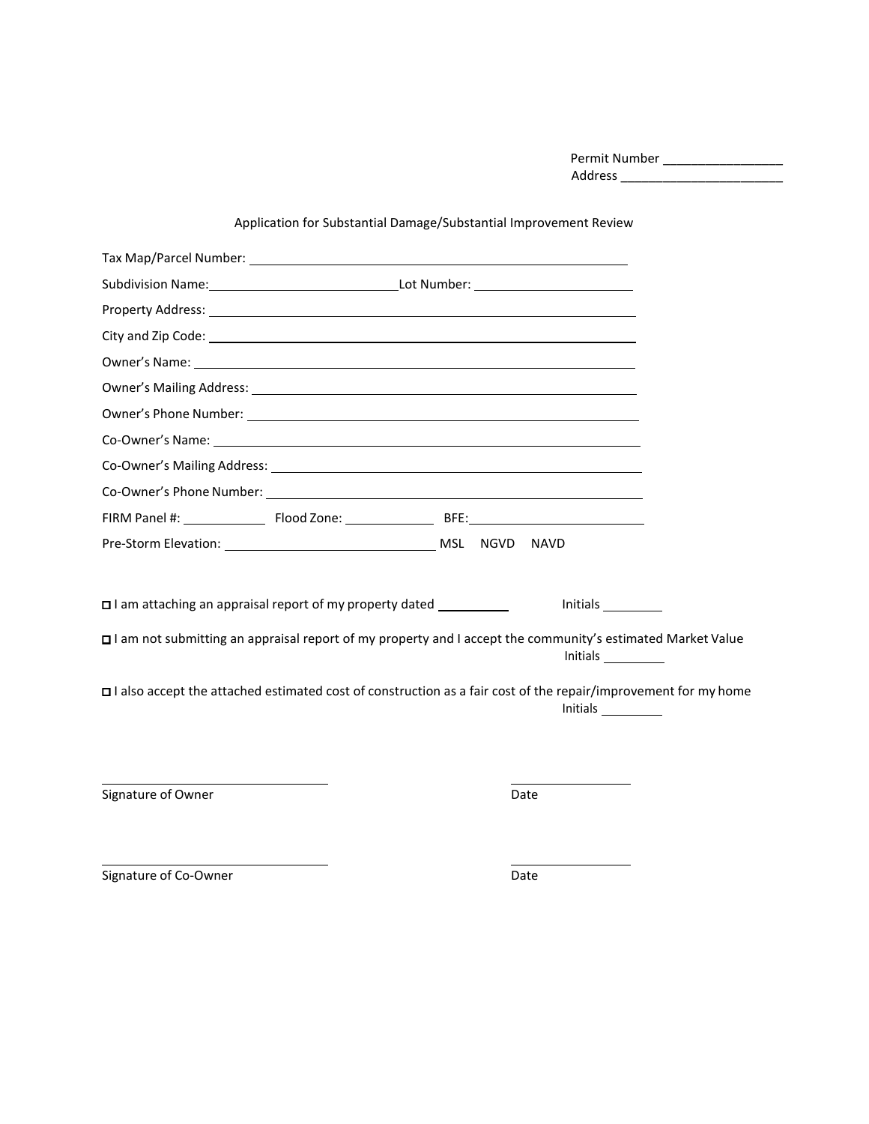Permit Number \_\_\_\_\_\_\_\_\_\_\_\_\_\_\_\_\_ Address \_\_\_\_\_\_\_\_\_\_\_\_\_\_\_\_\_\_\_\_\_\_\_

|                                                                                                                                                                                                                                | Application for Substantial Damage/Substantial Improvement Review |      |                                                                                                                            |
|--------------------------------------------------------------------------------------------------------------------------------------------------------------------------------------------------------------------------------|-------------------------------------------------------------------|------|----------------------------------------------------------------------------------------------------------------------------|
|                                                                                                                                                                                                                                |                                                                   |      |                                                                                                                            |
|                                                                                                                                                                                                                                |                                                                   |      |                                                                                                                            |
| Property Address: 2008 Communication of the Address of The Address of The Address of The Address of The Addres                                                                                                                 |                                                                   |      |                                                                                                                            |
|                                                                                                                                                                                                                                |                                                                   |      |                                                                                                                            |
|                                                                                                                                                                                                                                |                                                                   |      |                                                                                                                            |
|                                                                                                                                                                                                                                |                                                                   |      |                                                                                                                            |
|                                                                                                                                                                                                                                |                                                                   |      |                                                                                                                            |
| Co-Owner's Name: compared a state of the state of the state of the state of the state of the state of the state of the state of the state of the state of the state of the state of the state of the state of the state of the |                                                                   |      |                                                                                                                            |
|                                                                                                                                                                                                                                |                                                                   |      |                                                                                                                            |
|                                                                                                                                                                                                                                |                                                                   |      |                                                                                                                            |
|                                                                                                                                                                                                                                |                                                                   |      |                                                                                                                            |
|                                                                                                                                                                                                                                |                                                                   |      |                                                                                                                            |
|                                                                                                                                                                                                                                |                                                                   |      |                                                                                                                            |
| $\square$ I am attaching an appraisal report of my property dated $\square$                                                                                                                                                    |                                                                   |      | <b>Initials</b>                                                                                                            |
| I am not submitting an appraisal report of my property and I accept the community's estimated Market Value                                                                                                                     |                                                                   |      | Initials                                                                                                                   |
|                                                                                                                                                                                                                                |                                                                   |      | I also accept the attached estimated cost of construction as a fair cost of the repair/improvement for my home<br>Initials |
|                                                                                                                                                                                                                                |                                                                   |      |                                                                                                                            |
| Signature of Owner                                                                                                                                                                                                             |                                                                   | Date |                                                                                                                            |

Application for Substantial Damage/Substantial Improvement Review

Signature of Co-Owner Date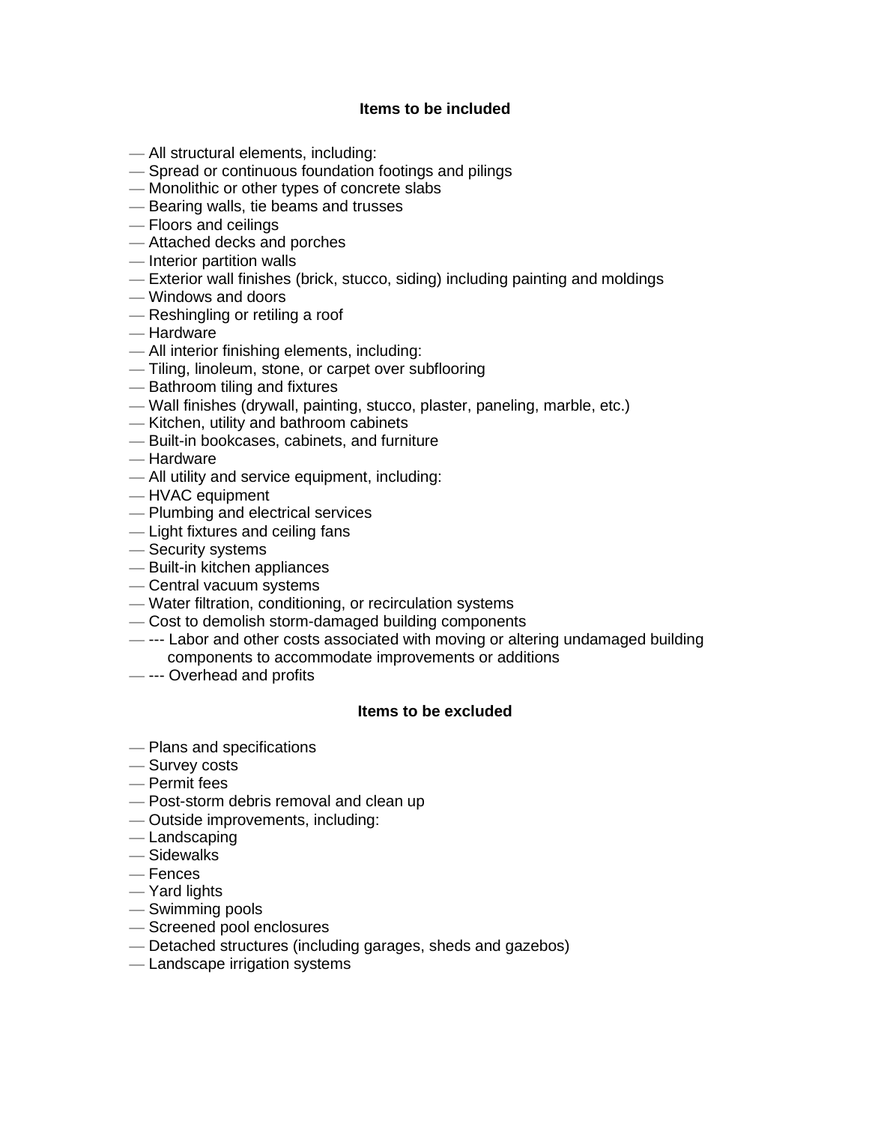## **Items to be included**

- All structural elements, including:
- Spread or continuous foundation footings and pilings
- Monolithic or other types of concrete slabs
- Bearing walls, tie beams and trusses
- Floors and ceilings
- Attached decks and porches
- Interior partition walls
- Exterior wall finishes (brick, stucco, siding) including painting and moldings
- Windows and doors
- Reshingling or retiling a roof
- Hardware
- All interior finishing elements, including:
- Tiling, linoleum, stone, or carpet over subflooring
- Bathroom tiling and fixtures
- Wall finishes (drywall, painting, stucco, plaster, paneling, marble, etc.)
- Kitchen, utility and bathroom cabinets
- Built-in bookcases, cabinets, and furniture
- Hardware
- All utility and service equipment, including:
- HVAC equipment
- Plumbing and electrical services
- Light fixtures and ceiling fans
- Security systems
- Built-in kitchen appliances
- Central vacuum systems
- Water filtration, conditioning, or recirculation systems
- Cost to demolish storm-damaged building components
- --- Labor and other costs associated with moving or altering undamaged building components to accommodate improvements or additions
- --- Overhead and profits

#### **Items to be excluded**

- Plans and specifications
- Survey costs
- Permit fees
- Post-storm debris removal and clean up
- Outside improvements, including:
- Landscaping
- Sidewalks
- Fences
- Yard lights
- Swimming pools
- Screened pool enclosures
- Detached structures (including garages, sheds and gazebos)
- Landscape irrigation systems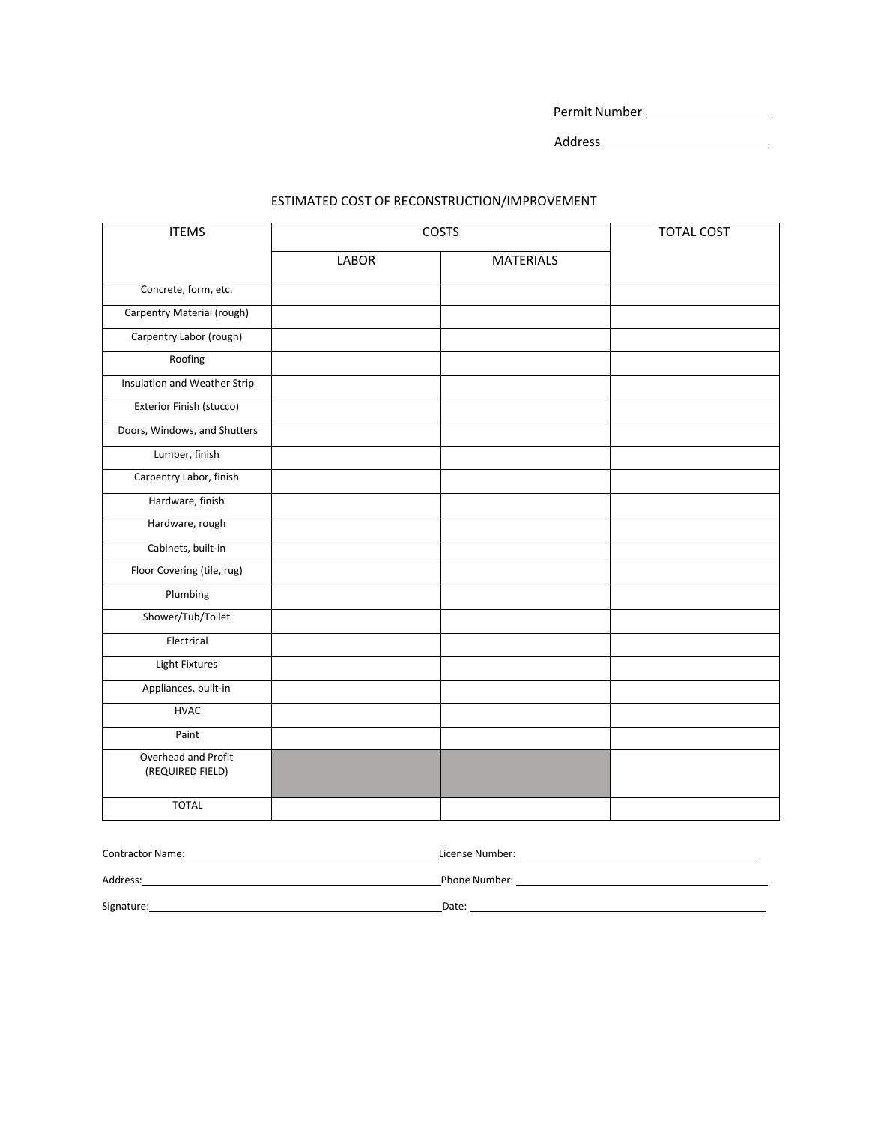Permit Number

Address

#### ESTIMATED COST OF RECONSTRUCTION/IMPROVEMENT

| <b>ITEMS</b>                            | COSTS |                  | <b>TOTAL COST</b> |
|-----------------------------------------|-------|------------------|-------------------|
|                                         | LABOR | <b>MATERIALS</b> |                   |
| Concrete, form, etc.                    |       |                  |                   |
| Carpentry Material (rough)              |       |                  |                   |
| Carpentry Labor (rough)                 |       |                  |                   |
| Roofing                                 |       |                  |                   |
| Insulation and Weather Strip            |       |                  |                   |
| Exterior Finish (stucco)                |       |                  |                   |
| Doors, Windows, and Shutters            |       |                  |                   |
| Lumber, finish                          |       |                  |                   |
| Carpentry Labor, finish                 |       |                  |                   |
| Hardware, finish                        |       |                  |                   |
| Hardware, rough                         |       |                  |                   |
| Cabinets, built-in                      |       |                  |                   |
| Floor Covering (tile, rug)              |       |                  |                   |
| Plumbing                                |       |                  |                   |
| Shower/Tub/Toilet                       |       |                  |                   |
| Electrical                              |       |                  |                   |
| <b>Light Fixtures</b>                   |       |                  |                   |
| Appliances, built-in                    |       |                  |                   |
| <b>HVAC</b>                             |       |                  |                   |
| Paint                                   |       |                  |                   |
| Overhead and Profit<br>(REQUIRED FIELD) |       |                  |                   |
| <b>TOTAL</b>                            |       |                  |                   |

| <b>Contractor Name:</b> | License Number: |
|-------------------------|-----------------|
| Address:                | Phone Number:   |
| Signature:              | Date:           |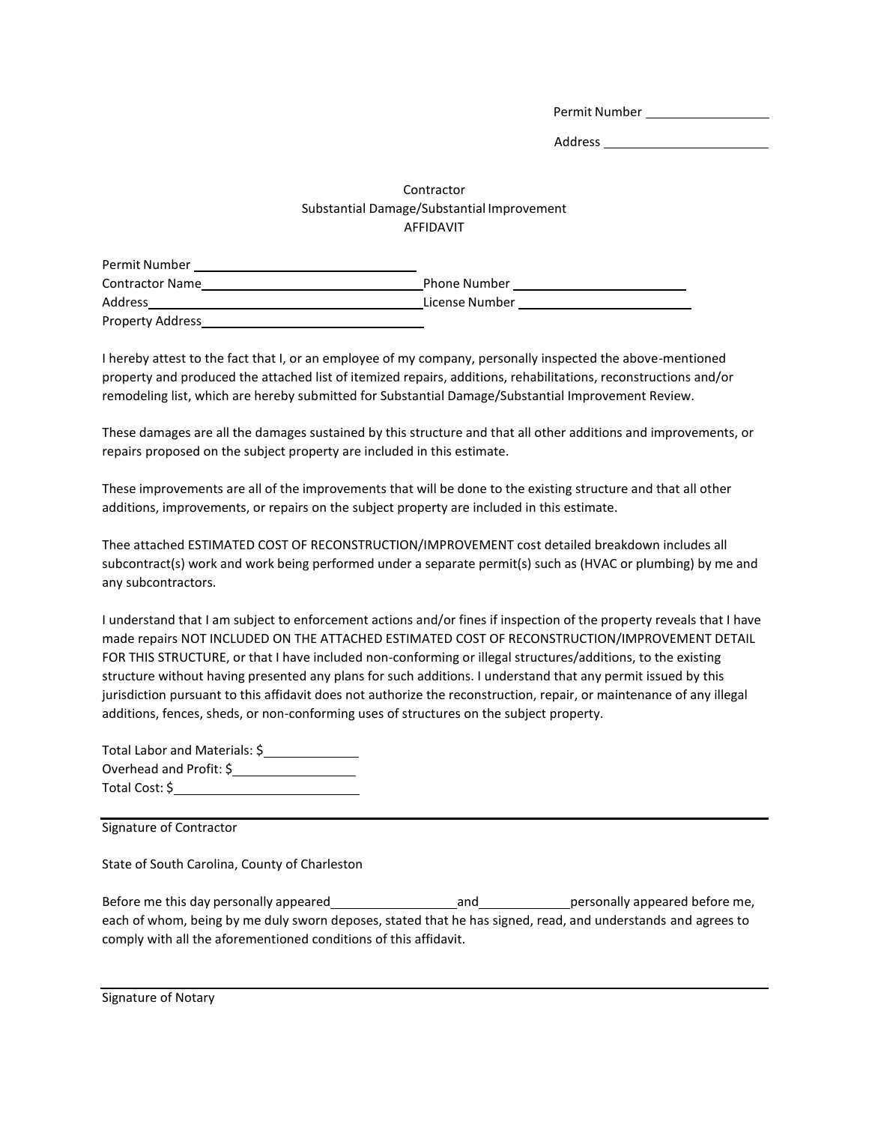Permit Number

Address

#### Contractor Substantial Damage/Substantial Improvement AFFIDAVIT

| Permit Number           |                |
|-------------------------|----------------|
| <b>Contractor Name</b>  | Phone Number   |
| Address                 | License Number |
| <b>Property Address</b> |                |

I hereby attest to the fact that I, or an employee of my company, personally inspected the above-mentioned property and produced the attached list of itemized repairs, additions, rehabilitations, reconstructions and/or remodeling list, which are hereby submitted for Substantial Damage/Substantial Improvement Review.

These damages are all the damages sustained by this structure and that all other additions and improvements, or repairs proposed on the subject property are included in this estimate.

These improvements are all of the improvements that will be done to the existing structure and that all other additions, improvements, or repairs on the subject property are included in this estimate.

Thee attached ESTIMATED COST OF RECONSTRUCTION/IMPROVEMENT cost detailed breakdown includes all subcontract(s) work and work being performed under a separate permit(s) such as (HVAC or plumbing) by me and any subcontractors.

I understand that I am subject to enforcement actions and/or fines if inspection of the property reveals that I have made repairs NOT INCLUDED ON THE ATTACHED ESTIMATED COST OF RECONSTRUCTION/IMPROVEMENT DETAIL FOR THIS STRUCTURE, or that I have included non-conforming or illegal structures/additions, to the existing structure without having presented any plans for such additions. I understand that any permit issued by this jurisdiction pursuant to this affidavit does not authorize the reconstruction, repair, or maintenance of any illegal additions, fences, sheds, or non-conforming uses of structures on the subject property.

| Total Labor and Materials: \$ |
|-------------------------------|
| Overhead and Profit: \$       |
| Total Cost: \$                |

Signature of Contractor

State of South Carolina, County of Charleston

Before me this day personally appeared and personally appeared before me, each of whom, being by me duly sworn deposes, stated that he has signed, read, and understands and agrees to comply with all the aforementioned conditions of this affidavit.

Signature of Notary